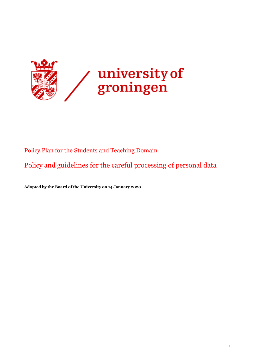

# Policy Plan for the Students and Teaching Domain

Policy and guidelines for the careful processing of personal data

**Adopted by the Board of the University on 14 January 2020**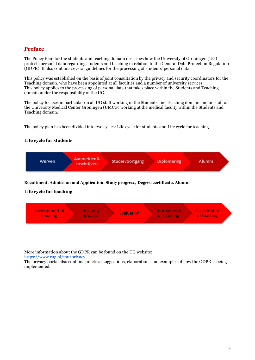## <span id="page-1-0"></span>**Preface**

The Policy Plan for the students and teaching domain describes how the University of Groningen (UG) protects personal data regarding students and teaching in relation to the General Data Protection Regulation (GDPR). It also contains several guidelines for the processing of students' personal data.

This policy was established on the basis of joint consultation by the privacy and security coordinators for the Teaching domain, who have been appointed at all faculties and a number of university services. This policy applies to the processing of personal data that takes place within the Students and Teaching domain under the responsibility of the UG.

The policy focuses in particular on all UG staff working in the Students and Teaching domain and on staff of the University Medical Center Groningen (UMCG) working at the medical faculty within the Students and Teaching domain.

The policy plan has been divided into two cycles: Life cycle for students and Life cycle for teaching

## **Life cycle for students**



## **Recuitment, Admission and Application, Study progress, Degree certificate, Alumni**

## **Life cycle for teaching**



More information about the GDPR can be found on the UG website:

<https://www.rug.nl/mu/privacy>

The privacy portal also contains practical suggestions, elaborations and examples of how the GDPR is being implemented.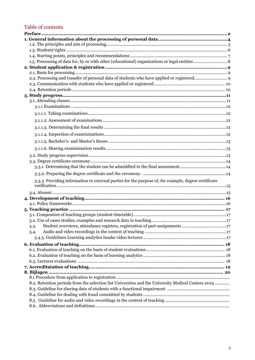# Table of contents

| 3.3.1. Determining that the student can be admiddted to the final assessment14                      |  |
|-----------------------------------------------------------------------------------------------------|--|
|                                                                                                     |  |
| 3.3.3 Providing information to external parties for the purpose of, for example, degree certificate |  |
|                                                                                                     |  |
|                                                                                                     |  |
|                                                                                                     |  |
|                                                                                                     |  |
|                                                                                                     |  |
|                                                                                                     |  |
| Student overviews, attendance registers, registration of part-assignments 17<br>5.3.                |  |
| 5.4.                                                                                                |  |
|                                                                                                     |  |
| 6. Evaluation of teaching                                                                           |  |
|                                                                                                     |  |
|                                                                                                     |  |
|                                                                                                     |  |
| 8. Bijlagen.                                                                                        |  |
|                                                                                                     |  |
| 8.2. Retention periods from the selection list Universties and the University Medical Centers 2019  |  |
|                                                                                                     |  |
|                                                                                                     |  |
|                                                                                                     |  |
|                                                                                                     |  |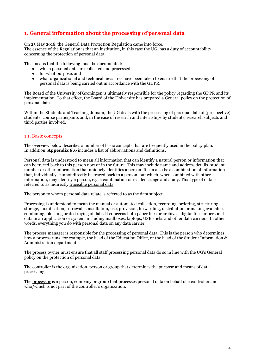# <span id="page-3-0"></span>**1. General information about the processing of personal data**

On 25 May 2018, the General Data Protection Regulation came into force. The essence of the Regulation is that an institution, in this case the UG, has a duty of accountability concerning the protection of personal data.

This means that the following must be documented:

- which personal data are collected and processed<br>• for what purpose and
- for what purpose, and
- what organizational and technical measures have been taken to ensure that the processing of personal data is being carried out in accordance with the GDPR.

The Board of the University of Groningen is ultimately responsible for the policy regarding the GDPR and its implementation. To that effect, the Board of the University has prepared a General policy on the protection of personal data.

Within the Students and Teaching domain, the UG deals with the processing of personal data of (prospective) students, course participants and, in the case of research and internships by students, research subjects and third parties involved.

## 1.1. Basic concepts

The overview below describes a number of basic concepts that are frequently used in the policy plan. In addition, **Appendix 8.6** includes a list of abbreviations and definitions.

Personal data is understood to mean all information that can identify a natural person or information that can be traced back to this person now or in the future. This may include name and address details, student number or other information that uniquely identifies a person. It can also be a combination of information that, individually, cannot directly be traced back to a person, but which, when combined with other information, may identify a person, e.g. a combination of residence, age and study. This type of data is referred to as indirectly traceable personal data.

The person to whom personal data relate is referred to as the data subject.

Processing is understood to mean the manual or automated collection, recording, ordering, structuring, storage, modification, retrieval, consultation, use, provision, forwarding, distribution or making available, combining, blocking or destroying of data. It concerns both paper files or archives, digital files or personal data in an application or system, including mailboxes, laptops, USB sticks and other data carriers. In other words, everything you do with personal data on any data carrier.

The process manager is responsible for the processing of personal data. This is the person who determines how a process runs, for example, the head of the Education Office, or the head of the Student Information & Administration department.

The process owner must ensure that all staff processing personal data do so in line with the UG's General policy on the protection of personal data.

The controller is the organization, person or group that determines the purpose and means of data processing.

<span id="page-3-1"></span>The processor is a person, company or group that processes personal data on behalf of a controller and who/which is not part of the controller's organization.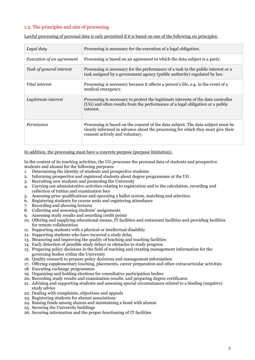## 1.2. The principles and aim of processing

| Legal duty                | Processing is necessary for the execution of a legal obligation.                                                                                                                                       |
|---------------------------|--------------------------------------------------------------------------------------------------------------------------------------------------------------------------------------------------------|
| Execution of an agreement | Processing is based on an agreement to which the data subject is a party.                                                                                                                              |
| Task of general interest  | Processing is necessary for the performance of a task in the public interest or a<br>task assigned by a government agency (public authority) regulated by law.                                         |
| Vital interest            | Processing is necessary because it affects a person's life, e.g. in the event of a<br>medical emergency.                                                                                               |
| Legitimate interest       | Processing is necessary to protect the legitimate interests of the data controller<br>(UG) and often results from the performance of a legal obligation or a public<br>interest.                       |
| Permission                | Processing is based on the consent of the data subject. The data subject must be<br>clearly informed in advance about the processing for which they must give their<br>consent actively and voluntary. |

Lawful processing of personal data is only permitted if it is based on one of the following six principles:

### In addition, the processing must have a concrete purpose (purpose limitation).

In the context of its teaching activities, the UG processes the personal data of students and prospective students and alumni for the following purposes:

- 1. Determining the identity of students and prospective students
- 2. Informing prospective and registered students about degree programmes at the UG
- 3. Recruiting new students and promoting the University
- 4. Carrying out administrative activities relating to registration and to the calculation, recording and collection of tuition and examination fees
- 5. Assessing prior qualifications and operating a ballot system, matching and selection
- 6. Registering students for course units and registering attendance
- 7. Recording and showing lectures
- 8. Collecting and assessing students' assignments
- 9. Assessing study results and awarding credit points
- 10. Offering and supplying educational means, IT facilities and restaurant facilities and providing facilities for remote collaboration
- 11. Supporting students with a physical or intellectual disability
- 12. Supporting students who have incurred a study delay
- 13. Measuring and improving the quality of teaching and teaching facilities
- 14. Early detection of possible study delays or obstacles to study progress
- 15. Preparing policy decisions in the field of teaching and creating management information for the governing bodies within the University
- 16. Quality research to prepare policy decisions and management information
- 17. Offering supplementary teaching, placements, career preparation and other extracurricular activities
- 18. Executing exchange programmes
- 19. Organizing and holding elections for consultative participation bodies
- 20. Recording study results and examination results, and preparing degree certificates
- 21. Advising and supporting students and assessing special circumstances related to a binding (negative) study advice
- 22. Dealing with complaints, objections and appeals
- 23. Registering students for alumni associations
- 24. Raising funds among alumni and maintaining a bond with alumni
- 25. Securing the University buildings
- 26. Securing information and the proper functioning of IT facilities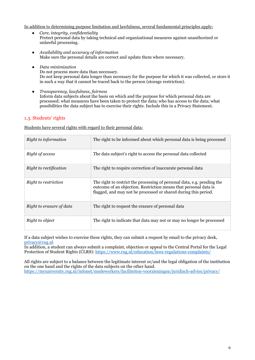In addition to determining purpose limitation and lawfulness, several fundamental principles apply:

- *Care, integrity, confidentiality* Protect personal data by taking technical and organizational measures against unauthorized or unlawful processing.
- *Availability and accuracy of information* Make sure the personal details are correct and update them where necessary.
- *Data minimization* Do not process more data than necessary. Do not keep personal data longer than necessary for the purpose for which it was collected, or store it in such a way that it cannot be traced back to the person (storage restriction).
- *Transparency, lawfulness, fairness* Inform data subjects about the basis on which and the purpose for which personal data are processed; what measures have been taken to protect the data; who has access to the data; what possibilities the data subject has to exercise their rights. Include this in a Privacy Statement.

## <span id="page-5-0"></span>1.3. Students' rights

Students have several rights with regard to their personal data:

| Right to information     | The right to be informed about which personal data is being processed                                                                                                                                          |
|--------------------------|----------------------------------------------------------------------------------------------------------------------------------------------------------------------------------------------------------------|
| Right of access          | The data subject's right to access the personal data collected                                                                                                                                                 |
| Right to rectification   | The right to require correction of inaccurate personal data                                                                                                                                                    |
| Right to restriction     | The right to restrict the processing of personal data, e.g. pending the<br>outcome of an objection. Restriction means that personal data is<br>flagged, and may not be processed or shared during this period. |
| Right to erasure of data | The right to request the erasure of personal data                                                                                                                                                              |
| Right to object          | The right to indicate that data may not or may no longer be processed                                                                                                                                          |

If a data subject wishes to exercise these rights, they can submit a request by email to the privacy desk, [privacy@rug.nl](mailto:privacy@rug.nl)

In addition, a student can always submit a complaint, objection or appeal to the Central Portal for the Legal Protection of Student Rights (CLRS): <https://www.rug.nl/education/laws-regulations-complaints/>

All rights are subject to a balance between the legitimate interest or/and the legal obligation of the institution on the one hand and the rights of the data subjects on the other hand. <https://myuniversity.rug.nl/infonet/medewerkers/faciliteiten-voorzieningen/juridisch-advies/privacy/>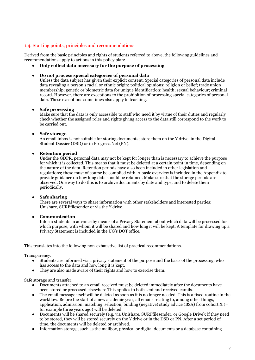## <span id="page-6-0"></span>1.4. Starting points, principles and recommendations

Derived from the basic principles and rights of students referred to above, the following guidelines and recommendations apply to actions in this policy plan:

● **Only collect data necessary for the purpose of processing**

#### ● **Do not process special categories of personal data**

Unless the data subject has given their explicit consent. Special categories of personal data include data revealing a person's racial or ethnic origin; political opinions; religion or belief; trade union membership; genetic or biometric data for unique identification; health; sexual behaviour; criminal record. However, there are exceptions to the prohibition of processing special categories of personal data. These exceptions sometimes also apply to teaching.

### ● **Safe processing**

Make sure that the data is only accessible to staff who need it by virtue of their duties and regularly check whether the assigned roles and rights giving access to the data still correspond to the work to be carried out.

### **Safe storage**

An email inbox is not suitable for storing documents; store them on the Y drive, in the Digital Student Dossier (DSD) or in Progress.Net (PN).

## ● **Retention period**

Under the GDPR, personal data may not be kept for longer than is necessary to achieve the purpose for which it is collected. This means that it must be deleted at a certain point in time, depending on the nature of the data. Retention periods have also been included in other legislation and regulations; these must of course be complied with. A basic overview is included in the Appendix to provide guidance on how long data should be retained. Make sure that the storage periods are observed. One way to do this is to archive documents by date and type, and to delete them periodically.

## ● **Safe sharing**

There are several ways to share information with other stakeholders and interested parties: Unishare, SURFfilesender or via the Y drive.

## ● **Communication**

Inform students in advance by means of a Privacy Statement about which data will be processed for which purpose, with whom it will be shared and how long it will be kept. A template for drawing up a Privacy Statement is included in the UG's DOT office.

This translates into the following non-exhaustive list of practical recommendations.

Transparency:

- Students are informed via a privacy statement of the purpose and the basis of the processing, who has access to the data and how long it is kept.
- They are also made aware of their rights and how to exercise them.

Safe storage and transfer:

- Documents attached to an email received must be deleted immediately after the documents have been stored or processed elsewhere.This applies to both sent and received eamils.
- The email message itself will be deleted as soon as it is no longer needed. This is a fixed routine in the workflow. Before the start of a new academic year, all emails relating to, among other things, application, admission, matching, selection, binding (negative) study advice (BSA) from cohort  $X$  (= for example three years ago) will be deleted.
- Documents will be shared securely (e.g. via Unishare, SURFfilesender, or Google Drive); if they need to be stored, they will be stored securely on the Y drive or in the DSD or PN. After a set period of time, the documents will be deleted or archived.
- Information storage, such as the mailbox, physical or digital documents or a database containing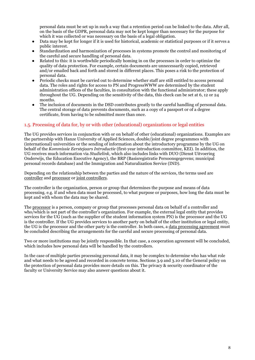personal data must be set up in such a way that a retention period can be linked to the data. After all, on the basis of the GDPR, personal data may not be kept longer than necessary for the purpose for which it was collected or was necessary on the basis of a legal obligation.

- Data may be kept for longer if it is used for historical, academic or statistical purposes or if it serves a public interest.
- Standardization and harmonization of processes in systems promote the control and monitoring of the careful and secure handling of personal data.
- Related to this: it is worthwhile periodically homing in on the processes in order to optimize the quality of data protection. For example, certain documents are unnecessarily copied, retrieved and/or emailed back and forth and stored in different places. This poses a risk to the protection of personal data.
- Periodic checks must be carried out to determine whether staff are still entitled to access personal data. The roles and rights for access to PN and ProgressWWW are determined by the student administration offices of the faculties, in consultation with the functional administrator; these apply throughout the UG. Depending on the sensitivity of the data, this check can be set at 6, 12 or 24 months.
- The inclusion of documents in the DSD contributes greatly to the careful handling of personal data. The central storage of data prevents documents, such as a copy of a passport or of a degree certificate, from having to be submitted more than once.

## <span id="page-7-0"></span>1.5. Processing of data for, by or with other (educational) organizations or legal entities

The UG provides services in conjunction with or on behalf of other (educational) organizations. Examples are the partnership with Hanze University of Applied Sciences, double/joint degree programmes with (international) universities or the sending of information about the introductory programme by the UG on behalf of the *Kommissie Eerstejaars Introductie* (first-year introduction committee, KEI). In addition, the UG receives much information via *Studielink*, which also includes links with DUO (Dienst Uitvoering Onderwijs, the Education Executive Agency), the BRP (Basisregistratie Persoonsgegevens; municipal personal records database) and the Immigration and Naturalization Service (IND).

Depending on the relationship between the parties and the nature of the services, the terms used are controller and processor or joint controllers.

The controller is the organization, person or group that determines the purpose and means of data processing. e.g. if and when data must be processed, to what purpose or purposes, how long the data must be kept and with whom the data may be shared.

The processor is a person, company or group that processes personal data on behalf of a controller and who/which is not part of the controller's organization. For example, the external legal entity that provides services for the UG (such as the supplier of the student information system PN) is the processor and the UG is the controller. If the UG provides services to another party on behalf of the other institution or legal entity, the UG is the processor and the other party is the controller. In both cases, a data processing agreement must be concluded describing the arrangements for the careful and secure processing of personal data.

Two or more institutions may be jointly responsible. In that case, a cooperation agreement will be concluded, which includes how personal data will be handled by the controllers.

In the case of multiple parties processing personal data, it may be complex to determine who has what role and what needs to be agreed and recorded in concrete terms. Sections 3.9 and 3.10 of the General policy on the protection of personal data provides more details on this. The privacy & security coordinator of the faculty or University Service may also answer questions about it.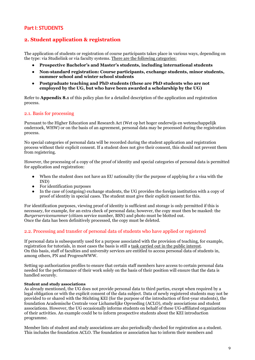## **Part I: STUDENTS**

## <span id="page-8-0"></span>**2. Student application & registration**

The application of students or registration of course participants takes place in various ways, depending on the type: via Studielink or via faculty systems. There are the following categories:

- **Prospective Bachelor's and Master's students, including international students**
- **Non-standard registration: Course participants, exchange students, minor students, summer school and winter school students**
- **Postgraduate teaching and PhD students (these are PhD students who are not employed by the UG, but who have been awarded a scholarship by the UG)**

Refer to **Appendix 8.1** of this policy plan for a detailed description of the application and registration process.

## <span id="page-8-1"></span>2.1. Basis for processing

Pursuant to the Higher Education and Research Act (Wet op het hoger onderwijs en wetenschappelijk onderzoek, WHW) or on the basis of an agreement, personal data may be processed during the registration process.

No special categories of personal data will be recorded during the student application and registration process without their explicit consent. If a student does not give their consent, this should not prevent them from registering.

However, the processing of a copy of the proof of identity and special categories of personal data is permitted for application and registration:

- When the student does not have an EU nationality (for the purpose of applying for a visa with the IND)
- For identification purposes
- In the case of (outgoing) exchange students, the UG provides the foreign institution with a copy of proof of identity in special cases. The student must give their explicit consent for this.

For identification purposes, viewing proof of identity is sufficient and storage is only permitted if this is necessary, for example, for an extra check of personal data; however, the copy must then be masked: the *Burgerservicenummer* (citizen service number, BSN) and photo must be blotted out. Once the data has been definitively processed, the copy must be deleted.

## <span id="page-8-2"></span>2.2. Processing and transfer of personal data of students who have applied or registered

If personal data is subsequently used for a purpose associated with the provision of teaching, for example, registration for tutorials, in most cases the basis is still a task carried out in the public interest. On this basis, staff of faculties and university services are entitled to access personal data of students in, among others, PN and ProgressWWW.

Setting up authorization profiles to ensure that certain staff members have access to certain personal data needed for the performance of their work solely on the basis of their position will ensure that the data is handled securely.

#### **Student and study associations**

As already mentioned, the UG does not provide personal data to third parties, except when required by a legal obligation or with the explicit consent of the data subject. Data of newly registered students may not be provided to or shared with the Stichting KEI (for the purpose of the introduction of first-year students), the foundation Academische Centrale voor Lichamelijke Opvoeding (ACLO), study associations and student associations. However, the UG occasionally informs students on behalf of these UG-affiliated organizations of their activities. An example could be to inform prospective students about the KEI introduction programme.

Member lists of student and study associations are also periodically checked for registration as a student. This includes the foundation ACLO. The foundation or association has to inform their members and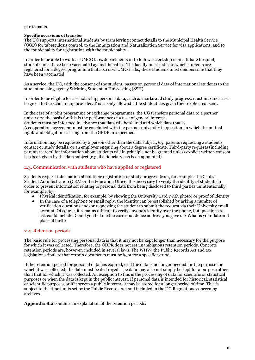## participants.

#### **Specific occasions of transfer**

The UG supports international students by transferring contact details to the Municipal Health Service (GGD) for tuberculosis control, to the Immigration and Naturalization Service for visa applications, and to the municipality for registration with the municipality.

In order to be able to work at UMCG labs/departments or to follow a clerkship in an affiliate hospital, students must have been vaccinated against hepatitis. The faculty must indicate which students are registered for a degree programme that also uses UMCG labs; these students must demonstrate that they have been vaccinated.

As a service, the UG, with the consent of the student, passes on personal data of international students to the student housing agency Stichting Studenten Huisvesting (SSH).

In order to be eligible for a scholarship, personal data, such as marks and study progress, must in some cases be given to the scholarship provider. This is only allowed if the student has given their explicit consent.

In the case of a joint programme or exchange programmes, the UG transfers personal data to a partner university; the basis for this is the performance of a task of general interest. Students must be informed in advance that data will be shared and which data that is. A cooperation agreement must be concluded with the partner university in question, in which the mutual rights and obligations arising from the GPDR are specified.

Information may be requested by a person other than the data subject, e.g. parents requesting a student's contact or study details, or an employer enquiring about a degree certificate. Third-party requests (including parents/carers) for information about students will in principle not be granted unless explicit written consent has been given by the data subject (e.g. if a fiduciary has been appointed).

## <span id="page-9-0"></span>2.3. Communication with students who have applied or registered

Students request information about their registration or study progress from, for example, the Central Student Administration (CSA) or the Education Office. It is necessary to verify the identity of students in order to prevent information relating to personal data from being disclosed to third parties unintentionally, for example, by:

- Physical identification, for example, by showing the University Card (with photo) or proof of identity
- In the case of a telephone or email reply, the identity can be established by asking a number of verification questions and/or requesting the student to submit the request via their University email account. Of course, it remains difficult to verify anyone's identity over the phone, but questions to ask could include: Could you tell me the correspondence address you gave us? What is your date and place of birth?

## <span id="page-9-1"></span>2.4. Retention periods

The basic rule for processing personal data is that it may not be kept longer than necessary for the purpose for which it was collected. Therefore, the GDPR does not set unambiguous retention periods. Concrete retention periods are, however, included in several laws. The WHW, the Public Records Act and tax legislation stipulate that certain documents must be kept for a specific period.

If the retention period for personal data has expired, or if the data is no longer needed for the purpose for which it was collected, the data must be destroyed. The data may also not simply be kept for a purpose other than that for which it was collected. An exception to this is the processing of data for scientific or statistical purposes or when the data is kept in the public interest. If personal data is intended for historical, statistical or scientific purposes or if it serves a public interest, it may be stored for a longer period of time. This is subject to the time limits set by the Public Records Act and included in the UG Regulations concerning archives.

<span id="page-9-2"></span>**Appendix 8.2** contains an explanation of the retention periods.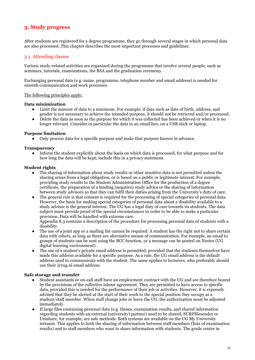## **3. Study progress**

After students are registered for a degree programme, they go through several stages in which personal data are also processed. This chapter describes the most important processes and guidelines.

## <span id="page-10-0"></span>3.1. Attending classes

Various study-related activities are organized during the programme that involve several people, such as seminars, tutorials, examinations, the BSA and the graduation ceremony.

Exchanging personal data (e.g. name, programme, telephone number and email address) is needed for smooth communication and work processes.

### The following principles apply:

#### **Data minimization**

- Limit the amount of data to a minimum. For example, if data such as date of birth, address, and gender is not necessary to achieve the intended purpose, it should not be retrieved and/or processed.
- Delete the data as soon as the purpose for which it was collected has been achieved or when it is no longer relevant. Consider in particular the data in an email box, on a USB stick or laptop.

## **Purpose limitation**

Only process data for a specific purpose and make that purpose known in advance.

### **Transparency**

Inform the student explicitly about the basis on which data is processed, for what purpose and for how long the data will be kept; include this in a privacy statement.

### **Student rights**

- The sharing of information about study results or other sensitive data is not permitted unless the sharing arises from a legal obligation, or is based on a public or legitimate interest. For example, providing study results to the Student Administration Office for the production of a degree certificate, the preparation of a binding (negative) study advice or the sharing of information between study advisors so that they can fulfil their duties arising from the University's duty of care.
- The general rule is that consent is required for the processing of special categories of personal data. However, the basis for making special categories of personal data about a disability available to a study advisor is the general interest. The UG has a legal duty of care towards its students. The data subject must provide proof of the special circumstances in order to be able to make a particular provision. Data will be handled with extreme care.

Appendix 8.3 contains a description of the procedure for processing personal data of students with a disability.

- The use of a joint app or a mailing list cannot be required. A student has the right not to share certain data with others, as long as there are alternative means of communication. For example, an email to groups of students can be sent using the BCC function, or a message can be posted on Nestor (UG digital learning environment).
- The use of a student's private email address is permitted, provided that the students themselves have made this address available for a specific purpose. As a rule, the UG email address is the default address used to communicate with the student. The same applies to lecturers, who preferably should use their @rug.nl email address.

#### **Safe storage and transfer**

- Student assistants or on-call staff have an employment contract with the UG and are therefore bound by the provisions of the collective labour agreement. They are permitted to have access to specific data, provided this is needed for the performance of their job or activities. However, it is expressly advised that they be alerted at the start of their work to the special position they occupy as a student/staff member. When staff change jobs or leave the UG, the authorization must be adjusted immediately.
- If large files containing personal data (e.g. theses, examination results, and shared information regarding students with an external (university) partner) need to be shared, SURFfilesender or Unishare, for example, are safe methods. Both systems are available on the UG My University intranet. This applies to both the sharing of information between staff members (lists of examination results) and to staff members who want to share information with students. The grade centre in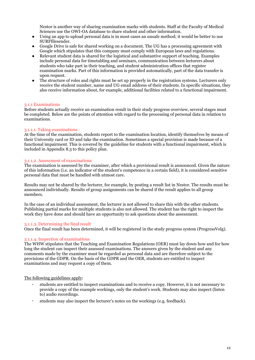Nestor is another way of sharing examination marks with students. Staff at the Faculty of Medical Sciences use the OWI-OA database to share student and other information.

- Using an app to upload personal data is in most cases an unsafe method; it would be better to use SURFfilesender.
- Google Drive is safe for shared working on a document. The UG has a processing agreement with Google which stipulates that this company must comply with European laws and regulations.
- Relevant student data is shared for the logistical and substantive support of teaching. Examples include personal data for timetabling and seminars, communication between lecturers about students who take part in their teaching, and student administration offices that register examination marks. Part of this information is provided automatically, part of the data transfer is upon request.
- The structure of roles and rights must be set up properly in the registration systems. Lecturers only receive the student number, name and UG email address of their students. In specific situations, they also receive information about, for example, additional facilities related to a functional impairment.

#### <span id="page-11-0"></span>3.1.1 Examinations

Before students actually receive an examination result in their study progress overview, several stages must be completed. Below are the points of attention with regard to the processing of personal data in relation to examinations.

### <span id="page-11-1"></span>3.1.1.1. Taking examinations

At the time of the examination, students report to the examination location, identify themselves by means of their University card or ID and take the examination. Sometimes a special provision is made because of a functional impairment. This is covered by the guideline for students with a functional impairment, which is included in Appendix 8.3 to this policy plan.

### <span id="page-11-2"></span>3.1.1.2. Assessment of examinations

The examination is assessed by the examiner, after which a provisional result is announced. Given the nature of this information (i.e. an indicator of the student's competence in a certain field), it is considered sensitive personal data that must be handled with utmost care.

Results may not be shared by the lecturer, for example, by posting a result list in Nestor. The results must be announced individually. Results of group assignments can be shared if the result applies to all group members.

In the case of an individual assessment, the lecturer is not allowed to share this with the other students. Publishing partial marks for multiple students is also not allowed. The student has the right to inspect the work they have done and should have an opportunity to ask questions about the assessment.

#### <span id="page-11-3"></span>3.1.1.3. Determining the final result

Once the final result has been determined, it will be registered in the study progress system (ProgressVolg).

#### <span id="page-11-4"></span>3.1.1.4. Inspection of examinations

The WHW stipulates that the Teaching and Examination Regulations (OER) must lay down how and for how long the student can inspect their assessed examinations. The answers given by the student and any comments made by the examiner must be regarded as personal data and are therefore subject to the provisions of the GDPR. On the basis of the GDPR and the OER, students are entitled to inspect examinations and may request a copy of them.

#### The following guidelines apply:

- · students are entitled to inspect examinations and to receive a copy. However, it is not necessary to provide a copy of the example workings, only the student's work. Students may also inspect (listen to) audio recordings.
- <span id="page-11-5"></span>· students may also inspect the lecturer's notes on the workings (e.g. feedback).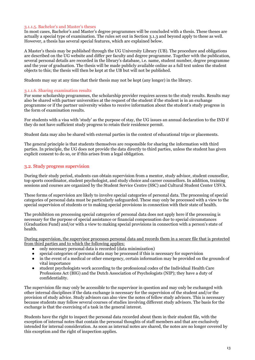#### 3.1.1.5. Bachelor's and Master's theses

In most cases, Bachelor's and Master's degree programmes will be concluded with a thesis. These theses are actually a special type of examination. The rules set out in Section 3.1.3 and beyond apply to these as well. However, a thesis has several special features, which are explained below.

A Master's thesis may be published through the UG University Library (UB). The procedure and obligations are described on the UG website and differ per faculty and degree programme. Together with the publication, several personal details are recorded in the library's database, i.e. name, student number, degree programme and the year of graduation. The thesis will be made publicly available online as a full text unless the student objects to this; the thesis will then be kept at the UB but will not be published.

Students may say at any time that their thesis may not be kept (any longer) in the library.

### <span id="page-12-0"></span>3.1.1.6. Sharing examination results

For some scholarship programmes, the scholarship provider requires access to the study results. Results may also be shared with partner universities at the request of the student if the student is in an exchange programme or if the partner university wishes to receive information about the student's study progress in the form of examination results.

For students with a visa with 'study' as the purpose of stay, the UG issues an annual declaration to the IND if they do not have sufficient study progress to retain their residence permit.

Student data may also be shared with external parties in the context of educational trips or placements.

The general principle is that students themselves are responsible for sharing the information with third parties. In principle, the UG does not provide the data directly to third parties, unless the student has given explicit consent to do so, or if this arises from a legal obligation.

## <span id="page-12-1"></span>3.2. Study progress supervision

During their study period, students can obtain supervision from a mentor, study advisor, student counsellor, top sports coordinator, student psychologist, and study choice and career counsellors. In addition, training sessions and courses are organized by the Student Service Centre (SSC) and Cultural Student Center USVA.

These forms of supervision are likely to involve special categories of personal data. The processing of special categories of personal data must be particularly safeguarded. These may only be processed with a view to the special supervision of students or to making special provisions in connection with their state of health.

The prohibition on processing special categories of personal data does not apply here if the processing is necessary for the purpose of special assistance or financial compensation due to special circumstances (Graduation Fund) and/or with a view to making special provisions in connection with a person's state of health.

During supervision, the supervisor processes personal data and records them in a secure file that is protected from third parties and to which the following applies:

- only necessary personal data is recorded (data minimization)
- special categories of personal data may be processed if this is necessary for supervision
- in the event of a medical or other emergency, certain information may be provided on the grounds of vital importance
- student psychologists work according to the professional codes of the Individual Health Care Professions Act (BIG) and the Dutch Association of Psychologists (NIP); they have a duty of confidentiality.

The supervision file may only be accessible to the supervisor in question and may only be exchanged with other internal disciplines if the data exchange is necessary for the supervision of the student and/or the provision of study advice. Study advisors can also view the notes of fellow study advisors. This is necessary because students may follow several courses of studies involving different study advisors. The basis for the exchange is that the exercising of a task in the general interest.

Students have the right to inspect the personal data recorded about them in their student file, with the exception of internal notes that contain the personal thoughts of staff members and that are exclusively intended for internal consideration. As soon as internal notes are shared, the notes are no longer covered by this exception and the right of inspection applies.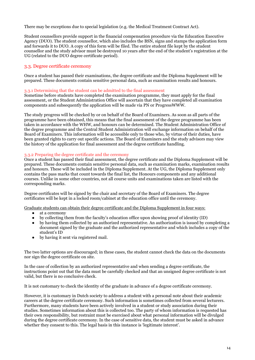There may be exceptions due to special legislation (e.g. the Medical Treatment Contract Act).

Student counsellors provide support in the financial compensation procedure via the Education Executive Agency (DUO). The student counsellor, which also includes the BSN, signs and stamps the application form and forwards it to DUO. A copy of this form will be filed. The entire student file kept by the student counsellor and the study advisor must be destroyed 10 years after the end of the student's registration at the UG (related to the DUO degree certificate period).

## <span id="page-13-0"></span>3.3. Degree certificate ceremony

Once a student has passed their examinations, the degree certificate and the Diploma Supplement will be prepared. These documents contain sensitive personal data, such as examination results and honours.

## <span id="page-13-1"></span>3.3.1 Determining that the student can be admitted to the final assessment

Sometime before students have completed the examination programme, they must apply for the final assessment, or the Student Administration Office will ascertain that they have completed all examination components and subsequently the application will be made via PN or ProgressWWW.

The study progress will be checked by or on behalf of the Board of Examiners. As soon as all parts of the programme have been obtained, this means that the final assessment of the degree programme has been taken in accordance with the WHW, and honours can be determined. The Student Administration Office of the degree programme and the Central Student Administration will exchange information on behalf of the Board of Examiners. This information will be accessible only to those who, by virtue of their duties, have been granted rights to carry out specific actions. The Board of Examiners and the study advisors may view the history of the application for final assessment and the degree certificate handling.

### <span id="page-13-2"></span>3.3.2 Preparing the degree certificate and the ceremony

Once a student has passed their final assessment, the degree certificate and the Diploma Supplement will be prepared. These documents contain sensitive personal data, such as examination marks, examination results and honours. These will be included in the Diploma Supplement. At the UG, the Diploma Supplement only contains the pass marks that count towards the final list, the Honours components and any additional courses. Unlike in some other countries, not all course units and examinations taken are listed with the corresponding marks.

Degree certificates will be signed by the chair and secretary of the Board of Examiners. The degree certificates will be kept in a locked room/cabinet at the education office until the ceremony.

Graduate students can obtain their degree certificate and the Diploma Supplement in four ways:

- at a ceremony
- by collecting them from the faculty's education office upon showing proof of identity (ID) by having them collected by an authorized representative. An authorization is issued by co
- by having them collected by an authorized representative. An authorization is issued by completing a document signed by the graduate and the authorized representative and which includes a copy of the student's ID
- by having it sent via registered mail.

The two latter options are discouraged; in these cases, the student cannot check the data on the documents nor sign the degree certificate on site.

In the case of collection by an authorized representative and when sending a degree certificate, the instructions point out that the data must be carefully checked and that an unsigned degree certificate is not valid, but there is no conclusive check.

It is not customary to check the identity of the graduate in advance of a degree certificate ceremony.

However, it is customary in Dutch society to address a student with a personal note about their academic careers at the degree certificate ceremony. Such information is sometimes collected from several lecturers. Furthermore, many students have been actively involved in a student or study association during their studies. Sometimes information about this is collected too. The party of whom information is requested has their own responsibility, but restraint must be exercised about what personal information will be divulged during the degree certificate ceremony. In the case of sensitive data, the student must be asked in advance whether they consent to this. The legal basis in this instance is 'legitimate interest'.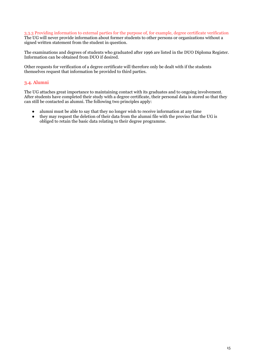#### <span id="page-14-0"></span>3.3.3 Providing information to external parties for the purpose of, for example, degree certificate verification The UG will never provide information about former students to other persons or organizations without a signed written statement from the student in question.

The examinations and degrees of students who graduated after 1996 are listed in the DUO Diploma Register. Information can be obtained from DUO if desired.

Other requests for verification of a degree certificate will therefore only be dealt with if the students themselves request that information be provided to third parties.

## <span id="page-14-1"></span>3.4. Alumni

The UG attaches great importance to maintaining contact with its graduates and to ongoing involvement. After students have completed their study with a degree certificate, their personal data is stored so that they can still be contacted as alumni. The following two principles apply:

- alumni must be able to say that they no longer wish to receive information at any time
- they may request the deletion of their data from the alumni file with the proviso that the UG is obliged to retain the basic data relating to their degree programme.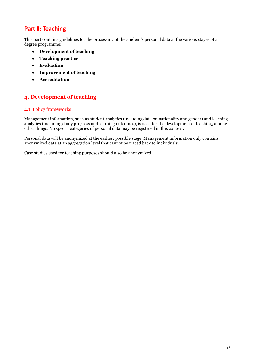# **Part II: Teaching**

This part contains guidelines for the processing of the student's personal data at the various stages of a degree programme:

- **Development of teaching**
- **Teaching practice**
- **Evaluation**
- **Improvement of teaching**
- **Accreditation**

## <span id="page-15-0"></span>**4. Development of teaching**

## <span id="page-15-1"></span>4.1. Policy frameworks

Management information, such as student analytics (including data on nationality and gender) and learning analytics (including study progress and learning outcomes), is used for the development of teaching, among other things. No special categories of personal data may be registered in this context.

Personal data will be anonymized at the earliest possible stage. Management information only contains anonymized data at an aggregation level that cannot be traced back to individuals.

<span id="page-15-2"></span>Case studies used for teaching purposes should also be anonymized.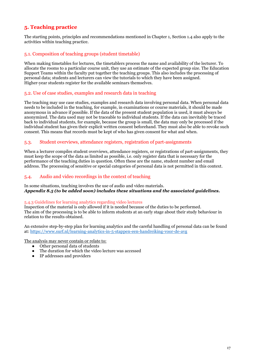# **5. Teaching practice**

The starting points, principles and recommendations mentioned in Chapter 1, Section 1.4 also apply to the activities within teaching practice.

## <span id="page-16-0"></span>5.1. Composition of teaching groups (student timetable)

When making timetables for lectures, the timetablers process the name and availability of the lecturer. To allocate the rooms to a particular course unit, they use an estimate of the expected group size. The Education Support Teams within the faculty put together the teaching groups. This also includes the processing of personal data; students and lecturers can view the tutorials to which they have been assigned. Higher-year students register for the available seminars themselves.

## <span id="page-16-1"></span>5.2. Use of case studies, examples and research data in teaching

The teaching may use case studies, examples and research data involving personal data. When personal data needs to be included in the teaching, for example, in examinations or course materials, it should be made anonymous in advance if possible. If the data of the present student population is used, it must always be anonymized. The data used may not be traceable to individual students. If the data can inevitably be traced back to individual students, for example, because the group is small, the data may only be processed if the individual student has given their explicit written consent beforehand. They must also be able to revoke such consent. This means that records must be kept of who has given consent for what and when.

## <span id="page-16-2"></span>5.3. Student overviews, attendance registers, registration of part-assignments

When a lecturer compiles student overviews, attendance registers, or registrations of part-assignments, they must keep the scope of the data as limited as possible, i.e. only register data that is necessary for the performance of the teaching duties in question. Often these are the name, student number and email address. The processing of sensitive or special categories of personal data is not permitted in this context.

## <span id="page-16-3"></span>5.4. Audio and video recordings in the context of teaching

## In some situations, teaching involves the use of audio and video materials. *Appendix 8.5 (to be added soon) includes these situations and the associated guidelines.*

#### <span id="page-16-4"></span>5.4.3 Guidelines for learning analytics regarding video lectures

Inspection of the material is only allowed if it is needed because of the duties to be performed. The aim of the processing is to be able to inform students at an early stage about their study behaviour in relation to the results obtained.

An extensive step-by-step plan for learning analytics and the careful handling of personal data can be found at[: https://www.surf.nl/learning-analytics-in-5-stappen-een-handreiking-voor-de-avg](https://www.surf.nl/learning-analytics-in-5-stappen-een-handreiking-voor-de-avg)

The analysis may never contain or relate to:

- Other personal data of students
- The duration for which the video lecture was accessed
- <span id="page-16-5"></span>● IP addresses and providers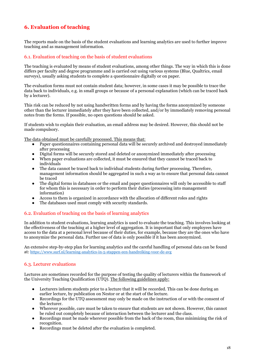# **6. Evaluation of teaching**

The reports made on the basis of the student evaluations and learning analytics are used to further improve teaching and as management information.

## <span id="page-17-0"></span>6.1. Evaluation of teaching on the basis of student evaluations

The teaching is evaluated by means of student evaluations, among other things. The way in which this is done differs per faculty and degree programme and is carried out using various systems (Blue, Qualtrics, email surveys), usually asking students to complete a questionnaire digitally or on paper.

The evaluation forms must not contain student data; however, in some cases it may be possible to trace the data back to individuals, e.g. in small groups or because of a personal explanation (which can be traced back by a lecturer).

This risk can be reduced by not using handwritten forms and by having the forms anonymized by someone other than the lecturer immediately after they have been collected, and/or by immediately removing personal notes from the forms. If possible, no open questions should be asked.

If students wish to explain their evaluation, an email address may be desired. However, this should not be made compulsory.

The data obtained must be carefully processed. This means that:

- Paper questionnaires containing personal data will be securely archived and destroyed immediately after processing
- Digital forms will be securely stored and deleted or anonymized immediately after processing
- When paper evaluations are collected, it must be ensured that they cannot be traced back to individuals
- The data cannot be traced back to individual students during further processing. Therefore, management information should be aggregated in such a way as to ensure that personal data cannot be traced
- The digital forms in databases or the email and paper questionnaires will only be accessible to staff for whom this is necessary in order to perform their duties (processing into management information)
- Access to them is organized in accordance with the allocation of different roles and rights
- The databases used must comply with security standards.

## <span id="page-17-1"></span>6.2. Evaluation of teaching on the basis of learning analytics

In addition to student evaluations, learning analytics is used to evaluate the teaching. This involves looking at the effectiveness of the teaching at a higher level of aggregation. It is important that only employees have access to the data at a personal level because of their duties, for example, because they are the ones who have to anonymize the personal data. Further use of data is only possible if it has been anonymized.

An extensive step-by-step plan for learning analytics and the careful handling of personal data can be found at: <https://www.surf.nl/learning-analytics-in-5-stappen-een-handreiking-voor-de-avg>

## <span id="page-17-2"></span>6.3. Lecturer evaluations

Lectures are sometimes recorded for the purpose of testing the quality of lecturers within the framework of the University Teaching Qualification (UTQ). The following guidelines apply:

- Lecturers inform students prior to a lecture that it will be recorded. This can be done during an earlier lecture, by publication on Nestor or at the start of the lecture.
- Recordings for the UTQ assessment may only be made on the instruction of or with the consent of the lecturer.
- Wherever possible, care must be taken to ensure that students are not shown. However, this cannot be ruled out completely because of interaction between the lecturer and the class.
- Recordings must be made wherever possible from the back of the room, thus minimizing the risk of recognition.
- Recordings must be deleted after the evaluation is completed.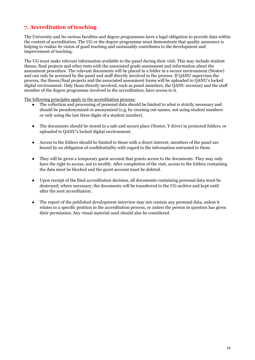# <span id="page-18-0"></span>**7. Accreditation of teaching**

The University and its various faculties and degree programmes have a legal obligation to provide data within the context of accreditation. The UG or the degree programme must demonstrate that quality assurance is helping to realize its vision of good teaching and sustainably contributes to the development and improvement of teaching.

The UG must make relevant information available to the panel during their visit. This may include student theses, final projects and other tests with the associated grade assessment and information about the assessment procedure. The relevant documents will be placed in a folder in a secure environment (Nestor) and can only be accessed by the panel and staff directly involved in the process. If QANU supervises the process, the theses/final projects and the associated assessment forms will be uploaded to QANU's locked digital environment. Only those directly involved, such as panel members, the QANU secretary and the staff member of the degree programme involved in the accreditation, have access to it.

The following principles apply in the accreditation process:

- The collection and processing of personal data should be limited to what is strictly necessary and should be pseudonymized or anonymized (e.g. by crossing out names, not using student numbers or only using the last three digits of a student number).
- The documents should be stored in a safe and secure place (Nestor, Y drive) in protected folders, or uploaded to QANU's locked digital environment.
- Access to the folders should be limited to those with a direct interest; members of the panel are bound by an obligation of confidentiality with regard to the information entrusted to them.
- They will be given a temporary guest account that grants access to the documents. They may only have the right to access, not to modify. After completion of the visit, access to the folders containing the data must be blocked and the guest account must be deleted.
- Upon receipt of the final accreditation decision, all documents containing personal data must be destroyed; where necessary, the documents will be transferred to the UG archive and kept until after the next accreditation.
- <span id="page-18-1"></span>• The report of the published development interview may not contain any personal data, unless it relates to a specific position in the accreditation process, or unless the person in question has given their permission. Any visual material used should also be considered.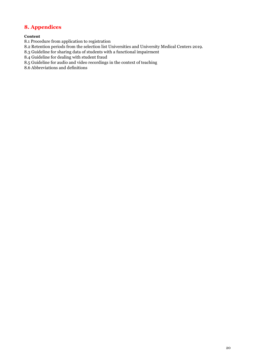# **8. Appendices**

## **Content**

8.1 Procedure from application to registration

8.2 Retention periods from the selection list Universities and University Medical Centers 2019.

8.3 Guideline for sharing data of students with a functional impairment

8.4 Guideline for dealing with student fraud

8.5 Guideline for audio and video recordings in the context of teaching

8.6 Abbreviations and definitions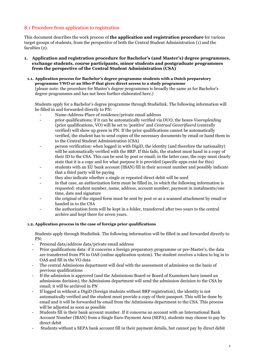## <span id="page-20-0"></span>8.1 Procedure from application to registration

This document describes the work process of **the application and registration procedure** for various target groups of students, from the perspective of both the Central Student Administration (1) and the faculties (2).

**1. Application and registration procedure for Bachelor's (and Master's) degree programmes, exchange students, course participants, minor students and postgraduate programmes from the perspective of the Central Student Administration (CSA)**

## **1.1. Application process for Bachelor's degree programme students with a Dutch preparatory programme VWO or an Hbo-P that gives direct access to a study programme**

(please note: the procedure for Master's degree programmes is broadly the same as for Bachelor's degree programmes and has not been further elaborated here.)

Students apply for a Bachelor's degree programme through Studielink. The following information will be filled in and forwarded directly to PN:

- Name-Address-Place of residence/private email address
- prior qualifications; if it can be automatically verified via DUO, the boxes *Vooropleiding* (prior qualifications, VO) will be set to 'positive' and *Centraal Geverifieerd* (centrally verified) will show up green in PN. If the prior qualifications cannot be automatically verified, the student has to send copies of the necessary documents by email or hand them in to the Central Student Administration (CSA)
- person verification: when logged in with DigiD, the identity (and therefore the nationality) will be automatically verified with the BRP. If this fails, the student must hand in a copy of their ID to the CSA. This can be sent by post or email; in the latter case, the copy must clearly state that it is a copy and for what purpose it is provided (specific apps exist for this)
- students with an EU bank account (IBAN) fill in their account number and possibly indicate that a third party will be paying
- they also indicate whether a single or repeated direct debit will be used
- in that case, an authorization form must be filled in, in which the following information is requested: student number, name, address, account number, payment in instalments/one time, date and signature
- the original of the signed form must be sent by post or as a scanned attachment by email or handed in to the CSA
- the authorization form will be kept in a folder, transferred after two years to the central archive and kept there for seven years.

## **1.2. Application process in the case of foreign prior qualifications**

Students apply through Studielink. The following information will be filled in and forwarded directly to PN:

- Personal data/address data/private email address
- Prior qualifications data: if it concerns a foreign preparatory programme or pre-Master's, the data are transferred from PN to OAS (online application system). The student receives a token to log in to OAS and fill in the VO data
- The central Admissions department will deal with the assessment of admission on the basis of previous qualifications
- If the admission is approved (and the Admissions Board or Board of Examiners have issued an admissions decision), the Admissions department will send the admission decision to the CSA by email; it will be archived in PN
- If logged in without a DigiD (foreign students without BRP registration), the identity is not automatically verified and the student must provide a copy of their passport. This will be done by email and it will be forwarded by email from the Admissions department to the CSA. This process will be adjusted as soon as possible
- Students fill in their bank account number. If it concerns an account with an International Bank Account Number (IBAN) from a Single Euro Payment Area (SEPA), students may choose to pay by direct debit
- Students without a SEPA bank account fill in their payment details, but cannot pay by direct debit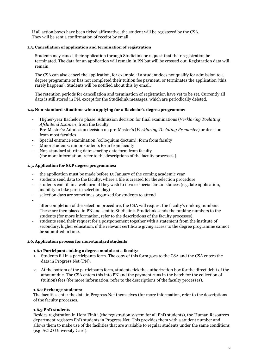If all action boxes have been ticked affirmative, the student will be registered by the CSA. They will be sent a confirmation of receipt by email.

## **1.3. Cancellation of application and termination of registration**

Students may cancel their application through Studielink or request that their registration be terminated. The data for an application will remain in PN but will be crossed out. Registration data will remain.

The CSA can also cancel the application, for example, if a student does not qualify for admission to a degree programme or has not completed their tuition fee payment, or terminates the application (this rarely happens). Students will be notified about this by email.

The retention periods for cancellation and termination of registration have yet to be set. Currently all data is still stored in PN, except for the Studielink messages, which are periodically deleted.

## **1.4. Non-standard situations when applying for a Bachelor's degree programme:**

- Higher-year Bachelor's phase: Admission decision for final examinations (*Verklaring Toelating Afsluitend Examen*) from the faculty
- Pre-Master's: Admission decision on pre-Master's (*Verklaring Toelating Premaster*) or decision from most faculties
- Special entrance examination (colloquium doctum): form from faculty
- Minor students: minor students form from faculty
- Non-standard starting date: starting date form from faculty (for more information, refer to the descriptions of the faculty processes.)

## **1.5. Application for S&P degree programmes:**

- the application must be made before 15 January of the coming academic year
- students send data to the faculty, where a file is created for the selection procedure
- students can fill in a web form if they wish to invoke special circumstances (e.g. late application, inability to take part in selection day)
- selection days are sometimes organized for students to attend
- -

after completion of the selection procedure, the CSA will request the faculty's ranking numbers. These are then placed in PN and sent to Studielink. Studielink sends the ranking numbers to the students (for more information, refer to the descriptions of the faculty processes).

- students send their request for a postponement together with a statement from the institute of secondary/higher education, if the relevant certificate giving access to the degree programme cannot be submitted in time.

## **1.6. Application process for non-standard students**

## **1.6.1 Participants taking a degree module at a faculty:**

- 1. Students fill in a participants form. The copy of this form goes to the CSA and the CSA enters the data in Progress.Net (PN).
- 2. At the bottom of the participants form, students tick the authorization box for the direct debit of the amount due. The CSA enters this into PN and the payment runs in the batch for the collection of (tuition) fees (for more information, refer to the descriptions of the faculty processes).

#### **1.6.2 Exchange students:**

The faculties enter the data in Progress.Net themselves (for more information, refer to the descriptions of the faculty processes.

## **1.6.3 PhD students**

Besides registration in Hora Finita (the registration system for all PhD students), the Human Resources department registers PhD students in Progress.Net. This provides them with a student number and allows them to make use of the facilities that are available to regular students under the same conditions (e.g. ACLO University Card).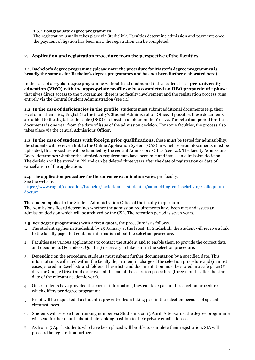## **1.6.4 Postgraduate degree programmes**

The registration usually takes place via Studielink. Faculties determine admission and payment; once the payment obligation has been met, the registration can be completed.

## **2. Application and registration procedure from the perspective of the faculties**

#### **2.1. Bachelor's degree programme (please note: the procedure for Master's degree programmes is broadly the same as for Bachelor's degree programmes and has not been further elaborated here):**

In the case of a regular degree programme without fixed quotas and if the student has a **pre-university education (VWO) with the appropriate profile or has completed an HBO propaedeutic phase** that gives direct access to the programme, there is no faculty involvement and the registration process runs entirely via the Central Student Administration (see 1.1).

**2.2. In the case of deficiencies in the profile**, students must submit additional documents (e.g. their level of mathematics, English) to the faculty's Student Administration Office. If possible, these documents are added to the digital student file (DSD) or stored in a folder on the Y drive. The retention period for these documents is one year from the date of issue of the admission decision. For some faculties, the process also takes place via the central Admissions Officer.

**2.3. In the case of students with foreign prior qualifications**, these must be tested for admissibility; the students will receive a link to the Online Application System (OAS) in which relevant documents must be uploaded; this procedure will be handled by the central Admissions Office (see 1.2). The faculty Admissions Board determines whether the admission requirements have been met and issues an admission decision. The decision will be stored in PN and can be deleted three years after the date of registration or date of cancellation of the application.

#### **2.4. The application procedure for the entrance examination** varies per faculty.

See the website: [https://www.rug.nl/education/bachelor/nederlandse-studenten/aanmelding-en-inschrijving/colloquium](https://www.rug.nl/education/bachelor/nederlandse-studenten/aanmelding-en-inschrijving/colloquium-doctum-)[doctum-](https://www.rug.nl/education/bachelor/nederlandse-studenten/aanmelding-en-inschrijving/colloquium-doctum-)

The student applies to the Student Administration Office of the faculty in question. The Admissions Board determines whether the admission requirements have been met and issues an admission decision which will be archived by the CSA. The retention period is seven years.

#### **2.5. For degree programmes with a fixed quota,** the procedure is as follows.

- 1. The student applies in Studielink by 15 January at the latest. In Studielink, the student will receive a link to the faculty page that contains information about the selection procedure.
- 2. Faculties use various applications to contact the student and to enable them to provide the correct data and documents (Formdesk, Qualtric) necessary to take part in the selection procedure.
- 3. Depending on the procedure, students must submit further documentation by a specified date. This information is collected within the faculty department in charge of the selection procedure and (in most cases) stored in Excel lists and folders. These lists and documentation must be stored in a safe place (Y drive or Google Drive) and destroyed at the end of the selection procedure (three months after the start date of the relevant academic year).
- 4. Once students have provided the correct information, they can take part in the selection procedure, which differs per degree programme.
- 5. Proof will be requested if a student is prevented from taking part in the selection because of special circumstances.
- 6. Students will receive their ranking number via Studielink on 15 April. Afterwards, the degree programme will send further details about their ranking position to their private email address.
- 7. As from 15 April, students who have been placed will be able to complete their registration. SIA will process the registration further.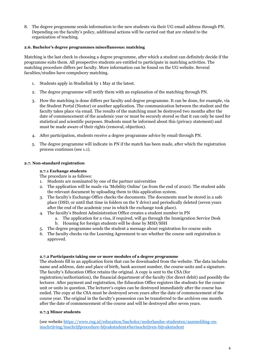8. The degree programme sends information to the new students via their UG email address through PN. Depending on the faculty's policy, additional actions will be carried out that are related to the organization of teaching.

## **2.6. Bachelor's degree programmes miscellaneous: matching**

Matching is the last check in choosing a degree programme, after which a student can definitely decide if the programme suits them. All prospective students are entitled to participate in matching activities. The matching procedure differs per faculty. More information can be found on the UG website. Several faculties/studies have compulsory matching.

- 1. Students apply in Studielink by 1 May at the latest.
- 2. The degree programme will notify them with an explanation of the matching through PN.
- 3. How the matching is done differs per faculty and degree programme. It can be done, for example, via the Student Portal (Nestor) or another application. The communication between the student and the faculty takes place via email. The results of the matching must be destroyed two months after the date of commencement of the academic year or must be securely stored so that it can only be used for statistical and scientific purposes. Students must be informed about this (privacy statement) and must be made aware of their rights (removal, objection).
- 4. After participation, students receive a degree programme advice by email through PN.
- 5. The degree programme will indicate in PN if the match has been made, after which the registration process continues (see 1.1).

## **2.7. Non-standard registration**

### **2.7.1 Exchange students**

The procedure is as follows:

- 1. Students are nominated by one of the partner universities
- 2. The application will be made via 'Mobility Online' (as from the end of 2020). The student adds the relevant document by uploading them to this application system.
- 3. The faculty's Exchange Office checks the documents. The documents must be stored in a safe place (DSD, or until that time in folders on the Y drive) and periodically deleted (seven years after the end of the academic year in which the exchange took place).
- 4. The faculty's Student Administration Office creates a student number in PN
	- a. The application for a visa, if required, will go through the Immigration Service Desk b. Housing for foreign students will be done by MSD/SSH
- 5. The degree programme sends the student a message about registration for course units
- 6. The faculty checks via the Learning Agreement to see whether the course unit registration is approved.

#### **2.7.2 Participants taking one or more modules of a degree programme**

The students fill in an application form that can be downloaded from the website. The data includes name and address, date and place of birth, bank account number, the course units and a signature. The faculty's Education Office retains the original. A copy is sent to the CSA (for registration/authorization), the financial department of the faculty (for direct debit) and possibly the lecturer. After payment and registration, the Education Office registers the students for the course unit or units in question. The lecturer's copies can be destroyed immediately after the course has ended. The copy at the CSA must be destroyed seven years after the date of commencement of the course year. The original in the faculty's possession can be transferred to the archives one month after the date of commencement of the course and will be destroyed after seven years.

## **2.7.3 Minor students**

(see websit[e https://www.rug.nl/education/bachelor/nederlandse-studenten/aanmelding-en](https://www.rug.nl/education/bachelor/nederlandse-studenten/aanmelding-en-inschrijving/inschrijfprocedure-bijvakstudent#herinschrijven-bijvakstudent)[inschrijving/inschrijfprocedure-bijvakstudent#herinschrijven-bijvakstudent](https://www.rug.nl/education/bachelor/nederlandse-studenten/aanmelding-en-inschrijving/inschrijfprocedure-bijvakstudent#herinschrijven-bijvakstudent)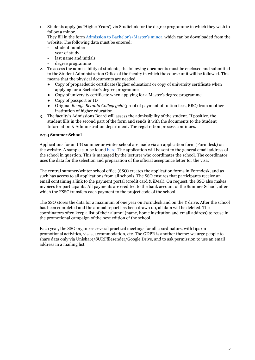1. Students apply (as 'Higher Years') via Studielink for the degree programme in which they wish to follow a minor.

They fill in the form [Admission to Bachelor's/Master's minor,](https://www.rug.nl/education/documenten/admission/toelating_tot_bijvak_bachelor_of_master.pdf) which can be downloaded from the website. The following data must be entered:

- student number
- year of study
- last name and initials
- degree programme
- 2. To assess the admissibility of students, the following documents must be enclosed and submitted to the Student Administration Office of the faculty in which the course unit will be followed. This means that the physical documents are needed.
	- Copy of propaedeutic certificate (higher education) or copy of university certificate when applying for a Bachelor's degree programme
	- Copy of university certificate when applying for a Master's degree programme
	- Copy of passport or ID
	- Original *Bewijs Betaald Collegegeld* (proof of payment of tuition fees, BBC) from another institution of higher education
- 3. The faculty's Admissions Board will assess the admissibility of the student. If positive, the student fills in the second part of the form and sends it with the documents to the Student Information & Administration department. The registration process continues.

## **2.7.4 Summer School**

Applications for an UG summer or winter school are made via an application form (Formdesk) on the website. A sample can be foun[d](https://fd13.formdesk.com/rug/template_summer/?test=1) [here.](https://fd13.formdesk.com/rug/template_summer/?test=1) The application will be sent to the general email address of the school in question. This is managed by the lecturer who coordinates the school. The coordinator uses the data for the selection and preparation of the official acceptance letter for the visa.

The central summer/winter school office (SSO) creates the application forms in Formdesk, and as such has access to all applications from all schools. The SSO ensures that participants receive an email containing a link to the payment portal (credit card & iDeal). On request, the SSO also makes invoices for participants. All payments are credited to the bank account of the Summer School, after which the FSSC transfers each payment to the project code of the school.

The SSO stores the data for a maximum of one year on Formdesk and on the Y drive. After the school has been completed and the annual report has been drawn up, all data will be deleted. The coordinators often keep a list of their alumni (name, home institution and email address) to reuse in the promotional campaign of the next edition of the school.

Each year, the SSO organizes several practical meetings for all coordinators, with tips on promotional activities, visas, accommodation, etc. The GDPR is another theme: we urge people to share data only via Unishare/SURFfilesender/Google Drive, and to ask permission to use an email address in a mailing list.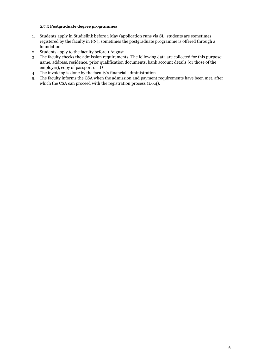## **2.7.5 Postgraduate degree programmes**

- 1. Students apply in Studielink before 1 May (application runs via SL; students are sometimes registered by the faculty in PN); sometimes the postgraduate programme is offered through a foundation
- 2. Students apply to the faculty before 1 August
- 3. The faculty checks the admission requirements. The following data are collected for this purpose: name, address, residence, prior qualification documents, bank account details (or those of the employer), copy of passport or ID
- 4. The invoicing is done by the faculty's financial administration
- 5. The faculty informs the CSA when the admission and payment requirements have been met, after which the CSA can proceed with the registration process (1.6.4).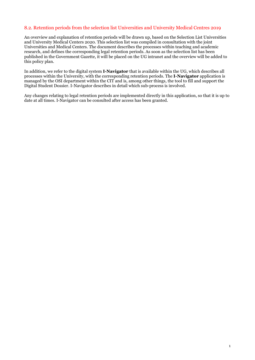## <span id="page-26-0"></span>8.2. Retention periods from the selection list Universities and University Medical Centres 2019

An overview and explanation of retention periods will be drawn up, based on the Selection List Universities and University Medical Centers 2020. This selection list was compiled in consultation with the joint Universities and Medical Centers. The document describes the processes within teaching and academic research, and defines the corresponding legal retention periods. As soon as the selection list has been published in the Government Gazette, it will be placed on the UG intranet and the overview will be added to this policy plan.

In addition, we refer to the digital system **I-Navigator** that is available within the UG, which describes all processes within the University, with the corresponding retention periods. The **I-Navigator** application is managed by the OSI department within the CIT and is, among other things, the tool to fill and support the Digital Student Dossier. I-Navigator describes in detail which sub-process is involved.

Any changes relating to legal retention periods are implemented directly in this application, so that it is up to date at all times. I-Navigator can be consulted after access has been granted.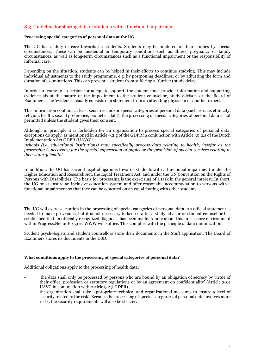## <span id="page-27-0"></span>8.3. Guideline for sharing data of students with a functional impairment

#### **Processing special categories of personal data at the UG**

The UG has a duty of care towards its students. Students may be hindered in their studies by special circumstances. These can be incidental or temporary conditions such as illness, pregnancy or family circumstances, as well as long-term circumstances such as a functional impairment or the responsibility of informal care.

Depending on the situation, students can be helped in their efforts to continue studying. This may include individual adjustments to the study programme, e.g. by postponing deadlines, or by adjusting the form and duration of examinations. This can prevent a student from suffering a (further) study delay.

In order to come to a decision for adequate support, the student must provide information and supporting evidence about the nature of the impediment to the student counsellor, study advisor, or the Board of Examiners. The 'evidence' usually consists of a statement from an attending physician or another expert.

This information contains at least sensitive and/or special categories of personal data (such as race, ethnicity, religion, health, sexual preference, biometric data); the processing of special categories of personal data is not permitted unless the student gives their consent.

Although in principle it is forbidden for an organization to process special categories of personal data, exceptions do apply, as mentioned in Article 9.2.g of the GDPR in conjunction with Article 30.2.a of the Dutch Implementation Act GDPR (UAVG):

*'schools (i.e. educational institutions) may specifically process data relating to health, insofar as the processing is necessary for the special supervision of pupils or the provision of special services relating to their state of health'.*

In addition, the UG has several legal obligations towards students with a functional impairment under the Higher Education and Research Act, the Equal Treatment Act, and under the UN Convention on the Rights of Persons with Disabilities. The basis for processing is the exercising of a task in the general interest. In short, the UG must ensure an inclusive education system and offer reasonable accommodation to persons with a functional impairment so that they can be educated on an equal footing with other students.

The UG will exercise caution in the processing of special categories of personal data. An official statement is needed to make provisions, but it is not necessary to keep it after a study advisor or student counsellor has established that an officially recognized diagnosis has been made. A note about this in a secure environment within Progress.Net or ProgressWWW will suffice. This complies with the principle of data minimization.

Student psychologists and student counsellors store their documents in the Stuf! application. The Board of Examiners stores its documents in the DSD.

#### **What conditions apply to the processing of special categories of personal data?**

Additional obligations apply to the processing of health data:

- 'the data shall only be processed by persons who are bound by an obligation of secrecy by virtue of their office, profession or statutory regulations or by an agreement on confidentiality' (Article 30.4 UAVG in conjunction with Article 9.2.g GDPR).
- the organization shall take 'appropriate technical and organizational measures to ensure a level of security related to the risk'. Because the processing of special categories of personal data involves more risks, the security requirements will also be stricter.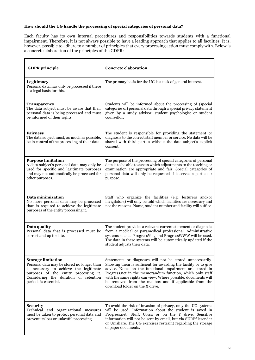## **How should the UG handle the processing of special categories of personal data?**

Each faculty has its own internal procedures and responsibilities towards students with a functional impairment. Therefore, it is not always possible to have a leading approach that applies to all faculties. It is, however, possible to adhere to a number of principles that every processing action must comply with. Below is a concrete elaboration of the principles of the GDPR:

| <b>GDPR</b> principle                                                                                                                                                                                                        | <b>Concrete elaboration</b>                                                                                                                                                                                                                                                                                                                                                                                         |
|------------------------------------------------------------------------------------------------------------------------------------------------------------------------------------------------------------------------------|---------------------------------------------------------------------------------------------------------------------------------------------------------------------------------------------------------------------------------------------------------------------------------------------------------------------------------------------------------------------------------------------------------------------|
| Legitimacy<br>Personal data may only be processed if there<br>is a legal basis for this.                                                                                                                                     | The primary basis for the UG is a task of general interest.                                                                                                                                                                                                                                                                                                                                                         |
| <b>Transparency</b><br>The data subject must be aware that their<br>personal data is being processed and must<br>be informed of their rights.                                                                                | Students will be informed about the processing of (special<br>categories of) personal data through a special privacy statement<br>given by a study advisor, student psychologist or student<br>counsellor.                                                                                                                                                                                                          |
| <b>Fairness</b><br>The data subject must, as much as possible,<br>be in control of the processing of their data.                                                                                                             | The student is responsible for providing the statement or<br>diagnosis to the correct staff member or service. No data will be<br>shared with third parties without the data subject's explicit<br>consent.                                                                                                                                                                                                         |
| <b>Purpose limitation</b><br>A data subject's personal data may only be<br>used for specific and legitimate purposes<br>and may not automatically be processed for<br>other purposes.                                        | The purpose of the processing of special categories of personal<br>data is to be able to assess which adjustments to the teaching or<br>examination are appropriate and fair. Special categories of<br>personal data will only be requested if it serves a particular<br>purpose.                                                                                                                                   |
| Data minimization<br>No more personal data may be processed<br>than is required to achieve the legitimate<br>purposes of the entity processing it.                                                                           | Staff who organize the facilities (e.g. lecturers and/or<br>invigilators) will only be told which facilities are necessary and<br>not the reasons. Name, student number and facility will suffice.                                                                                                                                                                                                                  |
| Data quality<br>Personal data that is processed must be<br>correct and up to date.                                                                                                                                           | The student provides a relevant current statement or diagnosis<br>from a medical or paramedical professional. Administrative<br>systems such as ProgressVolg and ProgressWWW will be used.<br>The data in these systems will be automatically updated if the<br>student adjusts their data.                                                                                                                         |
| <b>Storage limitation</b><br>Personal data may be stored no longer than<br>is necessary to achieve the legitimate<br>purposes of the entity processing it.<br>Considering the duration of retention<br>periods is essential. | Statements or diagnoses will not be stored unnecessarily.<br>Showing them is sufficient for awarding the facility or to give<br>advice. Notes on the functional impairment are stored in<br>Progress.net in the memorandum function, which only staff<br>with the same rights can view. Where possible, documents will<br>be removed from the mailbox and if applicable from the<br>download folder on the X drive. |
| <b>Security</b><br>Technical and organizational measures<br>must be taken to protect personal data and<br>prevent its loss or unlawful processing.                                                                           | To avoid the risk of invasion of privacy, only the UG systems<br>will be used. Information about the student is saved in<br>Progress.net, Stuf!, Corsa or on the Y drive. Sensitive<br>information will not be sent by email, but via SURFfilesender<br>or Unishare. The UG exercises restraint regarding the storage<br>of paper documents.                                                                        |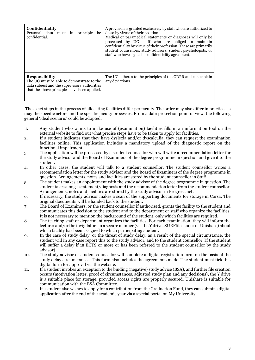| Confidentiality<br>Personal data must in principle<br>be I<br>confidential.                                                                                        | A provision is granted exclusively by staff who are authorized to<br>do so by virtue of their position.<br>Medical or paramedical statements or diagnoses will only be<br>processed by UG staff who are obliged to maintain<br>confidentiality by virtue of their profession. These are primarily<br>student counsellors, study advisors, student psychologists, or<br>staff who have signed a confidentiality agreement. |
|--------------------------------------------------------------------------------------------------------------------------------------------------------------------|---------------------------------------------------------------------------------------------------------------------------------------------------------------------------------------------------------------------------------------------------------------------------------------------------------------------------------------------------------------------------------------------------------------------------|
| <b>Responsibility</b><br>The UG must be able to demonstrate to the<br>data subject and the supervisory authorities<br>that the above principles have been applied. | The UG adheres to the principles of the GDPR and can explain<br>any deviations.                                                                                                                                                                                                                                                                                                                                           |

The exact steps in the process of allocating facilities differ per faculty. The order may also differ in practice, as may the specific actors and the specific faculty processes. From a data protection point of view, the following general 'ideal scenario' could be adopted:

- 1. Any student who wants to make use of (examination) facilities fills in an information tool on the external website to find out what precise steps have to be taken to apply for facilities.
- 2. If a student indicates that they have dyslexia and/or dyscalculia, they can request the examination facilities online. This application includes a mandatory upload of the diagnostic report on the functional impairment.
- 3. The application will be processed by a student counsellor who will write a recommendation letter for the study advisor and the Board of Examiners of the degree programme in question and give it to the student.
- 4. In other cases, the student will talk to a student counsellor. The student counsellor writes a recommendation letter for the study advisor and the Board of Examiners of the degree programme in question. Arrangements, notes and facilities are stored by the student counsellor in Stuf!
- 5. The student makes an appointment with the study advisor of the degree programme in question. The student takes along a statement/diagnosis and the recommendation letter from the student counsellor. Arrangements, notes and facilities are stored by the study advisor in Progress.net.
- 6. If necessary, the study advisor makes a scan of the supporting documents for storage in Corsa. The original documents will be handed back to the student.
- 7. The Board of Examiners, or the student counsellor if authorized, grants the facility to the student and communicates this decision to the student and to the department or staff who organize the facilities. It is not necessary to mention the background of the student, only which facilities are required.
- 8. The teaching staff or department organizes the facilities. For each examination, they will inform the lecturer and/or the invigilators in a secure manner (via the Y drive, SURFfilesender or Unishare) about which facility has been assigned to which participating student.
- 9. In the case of study delay, or the threat of study delay, as a result of the special circumstance, the student will in any case report this to the study advisor, and to the student counsellor (if the student will suffer a delay if 15 ECTS or more or has been referred to the student counsellor by the study advisor).
- 10. The study advisor or student counsellor will complete a digital registration form on the basis of the study delay circumstances. This form also includes the agreements made. The student must tick this digital form for approval via the website.
- 11. If a student invokes an exception to the binding (negative) study advice (BSA), and further file creation occurs (motivation letter, proof of circumstances, adjusted study plan and any decisions), the Y drive is a suitable place for storage, provided access rights are properly secured. Unishare is suitable for communication with the BSA Committee.
- 12. If a student also wishes to apply for a contribution from the Graduation Fund, they can submit a digital application after the end of the academic year via a special portal on My University.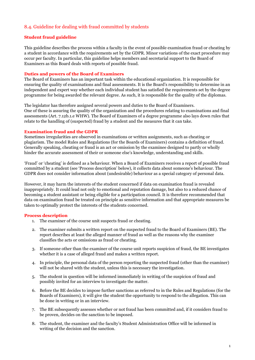## <span id="page-30-0"></span>8.4. Guideline for dealing with fraud committed by students

## **Student fraud guideline**

This guideline describes the process within a faculty in the event of possible examination fraud or cheating by a student in accordance with the requirements set by the GDPR. Minor variations of the exact procedure may occur per faculty. In particular, this guideline helps members and secretarial support to the Board of Examiners as this Board deals with reports of possible fraud.

## **Duties and powers of the Board of Examiners**

The Board of Examiners has an important task within the educational organization. It is responsible for ensuring the quality of examinations and final assessments. It is the Board's responsibility to determine in an independent and expert way whether each individual student has satisfied the requirements set by the degree programme for being awarded the relevant degree. As such, it is responsible for the quality of the diplomas.

The legislator has therefore assigned several powers and duties to the Board of Examiners. One of these is assuring the quality of the organization and the procedures relating to examinations and final assessments (Art. 7.12b.1.e WHW). The Board of Examiners of a degree programme also lays down rules that relate to the handling of (suspected) fraud by a student and the measures that it can take.

### **Examination fraud and the GDPR**

Sometimes irregularities are observed in examinations or written assignments, such as cheating or plagiarism. The model Rules and Regulations (for the Boards of Examiners) contains a definition of fraud. Generally speaking, cheating or fraud is an act or omission by the examinee designed to partly or wholly hinder the accurate assessment of their or someone else's knowledge, understanding and skills.

'Fraud' or 'cheating' is defined as a behaviour. When a Board of Examiners receives a report of possible fraud committed by a student (see 'Process description' below), it collects data about someone's behaviour. The GDPR does not consider information about (undesirable) behaviour as a special category of personal data.

However, it may harm the interests of the student concerned if data on examination fraud is revealed inappropriately. It could lead not only to emotional and reputation damage, but also to a reduced chance of becoming a student assistant or being eligible for a participation council. It is therefore recommended that data on examination fraud be treated on principle as sensitive information and that appropriate measures be taken to optimally protect the interests of the students concerned.

## **Process description**

- 1. The examiner of the course unit suspects fraud or cheating.
- 2. The examiner submits a written report on the suspected fraud to the Board of Examiners (BE). The report describes at least the alleged manner of fraud as well as the reasons why the examiner classifies the acts or omissions as fraud or cheating.
- 3. If someone other than the examiner of the course unit reports suspicion of fraud, the BE investigates whether it is a case of alleged fraud and makes a written report.
- 4. In principle, the personal data of the person reporting the suspected fraud (other than the examiner) will not be shared with the student, unless this is necessary the investigation.
- 5. The student in question will be informed immediately in writing of the suspicion of fraud and possibly invited for an interview to investigate the matter.
- 6. Before the BE decides to impose further sanctions as referred to in the Rules and Regulations (for the Boards of Examiners), it will give the student the opportunity to respond to the allegation. This can be done in writing or in an interview.
- 7. The BE subsequently assesses whether or not fraud has been committed and, if it considers fraud to be proven, decides on the sanction to be imposed.
- 8. The student, the examiner and the faculty's Student Administration Office will be informed in writing of the decision and the sanction.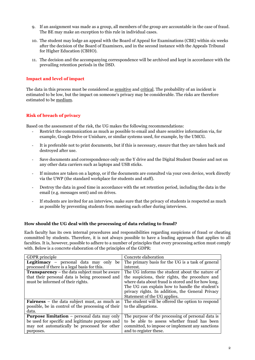- 9. If an assignment was made as a group, all members of the group are accountable in the case of fraud. The BE may make an exception to this rule in individual cases.
- 10. The student may lodge an appeal with the Board of Appeal for Examinations (CBE) within six weeks after the decision of the Board of Examiners, and in the second instance with the Appeals Tribunal for Higher Education (CBHO).
- 11. The decision and the accompanying correspondence will be archived and kept in accordance with the prevailing retention periods in the DSD.

## **Impact and level of impact**

The data in this process must be considered as sensitive and critical. The probability of an incident is estimated to be low, but the impact on someone's privacy may be considerable. The risks are therefore estimated to be medium.

## **Risk of breach of privacy**

Based on the assessment of the risk, the UG makes the following recommendations:

- Restrict the communication as much as possible to email and share sensitive information via, for example, Google Drive or Unishare, or similar systems used, for example, by the UMCG.
- It is preferable not to print documents, but if this is necessary, ensure that they are taken back and destroyed after use.
- Save documents and correspondence only on the Y drive and the Digital Student Dossier and not on any other data carriers such as laptops and USB sticks.
- If minutes are taken on a laptop, or if the documents are consulted via your own device, work directly via the UWP (the standard workplace for students and staff).
- Destroy the data in good time in accordance with the set retention period, including the data in the email (e.g. messages sent) and on drives.
- If students are invited for an interview, make sure that the privacy of students is respected as much as possible by preventing students from meeting each other during interviews.

## **How should the UG deal with the processing of data relating to fraud?**

Each faculty has its own internal procedures and responsibilities regarding suspicions of fraud or cheating committed by students. Therefore, it is not always possible to have a leading approach that applies to all faculties. It is, however, possible to adhere to a number of principles that every processing action must comply with. Below is a concrete elaboration of the principles of the GDPR:

| <b>GDPR</b> principle                                | Concrete elaboration                               |
|------------------------------------------------------|----------------------------------------------------|
| <b>Legitimacy</b> – personal data may only be        | The primary basis for the UG is a task of general  |
| processed if there is a legal basis for this.        | interest.                                          |
| <b>Transparency</b> – the data subject must be aware | The UG informs the student about the nature of     |
| that their personal data is being processed and      | the suspicions, their rights, the procedure and    |
| must be informed of their rights.                    | where data about fraud is stored and for how long. |
|                                                      | The UG can explain how to handle the student's     |
|                                                      | privacy rights. In addition, the General Privacy   |
|                                                      | Statement of the UG applies.                       |
| <b>Fairness</b> – the data subject must, as much as  | The student will be offered the option to respond  |
| possible, be in control of the processing of their   | to the allegations.                                |
| data.                                                |                                                    |
| <b>Purpose limitation</b> – personal data may only   | The purpose of the processing of personal data is  |
| be used for specific and legitimate purposes and     | to be able to assess whether fraud has been        |
| may not automatically be processed for other         | committed, to impose or implement any sanctions    |
| purposes.                                            | and to register these.                             |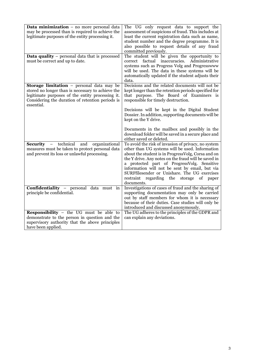| <b>Data minimization</b> $-$ no more personal data<br>may be processed than is required to achieve the<br>legitimate purposes of the entity processing it.                                                                  | The UG only request data to support the<br>assessment of suspicions of fraud. This includes at<br>least the current registration data such as name,<br>student number and the degree programme. It is<br>also possible to request details of any fraud<br>committed previously.                                                                                                                                                 |
|-----------------------------------------------------------------------------------------------------------------------------------------------------------------------------------------------------------------------------|---------------------------------------------------------------------------------------------------------------------------------------------------------------------------------------------------------------------------------------------------------------------------------------------------------------------------------------------------------------------------------------------------------------------------------|
| Data quality - personal data that is processed<br>must be correct and up to date.                                                                                                                                           | The student will be given the opportunity to<br>correct factual inaccuracies.<br>Administrative<br>systems such as Progress Volg and Progresswww<br>will be used. The data in these systems will be<br>automatically updated if the student adjusts their<br>data.                                                                                                                                                              |
| <b>Storage limitation</b> - personal data may be<br>stored no longer than is necessary to achieve the<br>legitimate purposes of the entity processing it.<br>Considering the duration of retention periods is<br>essential. | Decisions and the related documents will not be<br>kept longer than the retention periods specified for<br>that purpose. The Board of Examiners is<br>responsible for timely destruction.<br>Decisions will be kept in the Digital Student<br>Dossier. In addition, supporting documents will be<br>kept on the Y drive.                                                                                                        |
|                                                                                                                                                                                                                             | Documents in the mailbox and possibly in the<br>download folder will be saved in a secure place and<br>either saved or deleted.                                                                                                                                                                                                                                                                                                 |
| <b>Security</b> – technical and organizational<br>measures must be taken to protect personal data<br>and prevent its loss or unlawful processing.                                                                           | To avoid the risk of invasion of privacy, no system<br>other than UG systems will be used. Information<br>about the student is in ProgressVolg, Corsa and on<br>the Y drive. Any notes on the fraud will be saved in<br>a protected part of ProgressVolg. Sensitive<br>information will not be sent by email, but via<br>SURFfilesender or Unishare. The UG exercises<br>restraint regarding the storage of paper<br>documents. |
| Confidentiality - personal data must in<br>principle be confidential.                                                                                                                                                       | Investigations of cases of fraud and the sharing of<br>supporting documentation may only be carried<br>out by staff members for whom it is necessary<br>because of their duties. Case studies will only be<br>introduced and discussed anonymously.                                                                                                                                                                             |
| <b>Responsibility</b> - the UG must be able to<br>demonstrate to the person in question and the<br>supervisory authority that the above principles<br>have been applied.                                                    | The UG adheres to the principles of the GDPR and<br>can explain any deviations.                                                                                                                                                                                                                                                                                                                                                 |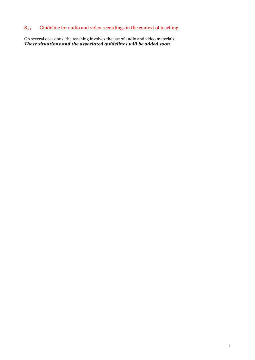## <span id="page-33-0"></span>8.5 Guideline for audio and video recordings in the context of teaching

On several occasions, the teaching involves the use of audio and video materials. *These situations and the associated guidelines will be added soon.*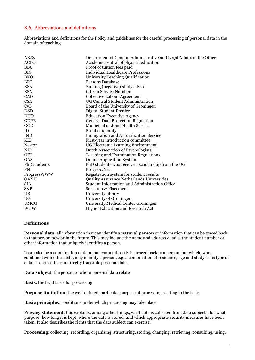## <span id="page-34-0"></span>8.6. Abbreviations and definitions

Abbreviations and definitions for the Policy and guidelines for the careful processing of personal data in the domain of teaching.

| ABJZ          | Department of General Administrative and Legal Affairs of the Office |
|---------------|----------------------------------------------------------------------|
| <b>ACLO</b>   | Academic central of physical education                               |
| <b>BBC</b>    | Proof of tuition fees paid                                           |
| <b>BIG</b>    | <b>Individual Healthcare Professions</b>                             |
| <b>BKO</b>    | University Teaching Qualification                                    |
| <b>BRP</b>    | Persons Database                                                     |
| <b>BSA</b>    | Binding (negative) study advice                                      |
| <b>BSN</b>    | Citizen Service Number                                               |
| CAO           | <b>Collective Labour Agreement</b>                                   |
| <b>CSA</b>    | UG Central Student Administration                                    |
| CvB           | Board of the University of Groningen                                 |
| <b>DSD</b>    | Digital Student Dossier                                              |
| <b>DUO</b>    | <b>Education Executive Agency</b>                                    |
| <b>GDPR</b>   | <b>General Data Protection Regulation</b>                            |
| GGD           | Municipal or Joint Health Service                                    |
| ID            | Proof of identity                                                    |
| <b>IND</b>    | Immigration and Naturalization Service                               |
| <b>KEI</b>    | First-year introduction committee                                    |
| <b>Nestor</b> | UG Electronic Learning Environment                                   |
| <b>NIP</b>    | Dutch Association of Psychologists                                   |
| <b>OER</b>    | <b>Teaching and Examination Regulations</b>                          |
| <b>OAS</b>    | <b>Online Application System</b>                                     |
| PhD students  | PhD students who receive a scholarship from the UG                   |
| <b>PN</b>     | Progress.Net                                                         |
| ProgressWWW   | Registration system for student results                              |
| QANU          | Quality Assurance Netherlands Universities                           |
| <b>SIA</b>    | Student Information and Administration Office                        |
| S&P           | <b>Selection &amp; Placement</b>                                     |
| UB            | University library                                                   |
| UG            | University of Groningen                                              |
| <b>UMCG</b>   | University Medical Center Groningen                                  |
| <b>WHW</b>    | Higher Education and Research Act                                    |

## **Definitions**

**Personal data**: all information that can identify a **natural person** or information that can be traced back to that person now or in the future. This may include the name and address details, the student number or other information that uniquely identifies a person.

It can also be a combination of data that cannot directly be traced back to a person, but which, when combined with other data, may identify a person, e.g. a combination of residence, age and study. This type of data is referred to as indirectly traceable personal data.

**Data subject**: the person to whom personal data relate

**Basis**: the legal basis for processing

**Purpose limitation**: the well-defined, particular purpose of processing relating to the basis

**Basic principles**: conditions under which processing may take place

**Privacy statement**: this explains, among other things, what data is collected from data subjects; for what purpose; how long it is kept; where the data is stored; and which appropriate security measures have been taken. It also describes the rights that the data subject can exercise.

**Processing**: collecting, recording, organizing, structuring, storing, changing, retrieving, consulting, using,